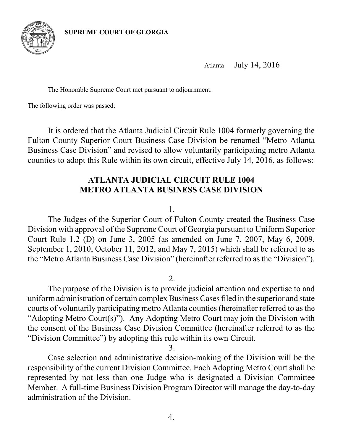

Atlanta July 14, 2016

The Honorable Supreme Court met pursuant to adjournment.

The following order was passed:

It is ordered that the Atlanta Judicial Circuit Rule 1004 formerly governing the Fulton County Superior Court Business Case Division be renamed "Metro Atlanta Business Case Division" and revised to allow voluntarily participating metro Atlanta counties to adopt this Rule within its own circuit, effective July 14, 2016, as follows:

# **ATLANTA JUDICIAL CIRCUIT RULE 1004 METRO ATLANTA BUSINESS CASE DIVISION**

1.

The Judges of the Superior Court of Fulton County created the Business Case Division with approval of the Supreme Court of Georgia pursuant to Uniform Superior Court Rule 1.2 (D) on June 3, 2005 (as amended on June 7, 2007, May 6, 2009, September 1, 2010, October 11, 2012, and May 7, 2015) which shall be referred to as the "Metro Atlanta Business Case Division" (hereinafter referred to as the "Division").

2.

The purpose of the Division is to provide judicial attention and expertise to and uniform administration of certain complex Business Cases filed in the superior and state courts of voluntarily participating metro Atlanta counties (hereinafter referred to as the "Adopting Metro Court(s)"). Any Adopting Metro Court may join the Division with the consent of the Business Case Division Committee (hereinafter referred to as the "Division Committee") by adopting this rule within its own Circuit.

3.

Case selection and administrative decision-making of the Division will be the responsibility of the current Division Committee. Each Adopting Metro Court shall be represented by not less than one Judge who is designated a Division Committee Member. A full-time Business Division Program Director will manage the day-to-day administration of the Division.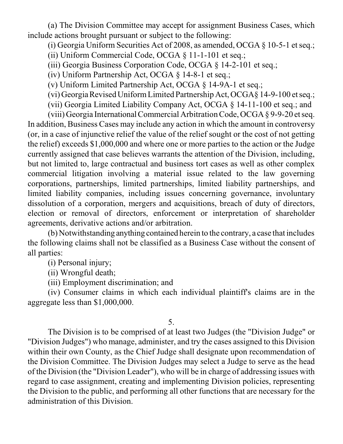(a) The Division Committee may accept for assignment Business Cases, which include actions brought pursuant or subject to the following:

(i) Georgia Uniform Securities Act of 2008, as amended, OCGA § 10-5-1 et seq.;

(ii) Uniform Commercial Code, OCGA § 11-1-101 et seq.;

(iii) Georgia Business Corporation Code, OCGA § 14-2-101 et seq.;

(iv) Uniform Partnership Act, OCGA § 14-8-1 et seq.;

(v) Uniform Limited Partnership Act, OCGA § 14-9A-1 et seq.;

(vi) GeorgiaRevisedUniformLimited Partnership Act, OCGA§ 14-9-100 et seq.;

(vii) Georgia Limited Liability Company Act, OCGA § 14-11-100 et seq.; and

(viii) Georgia InternationalCommercial ArbitrationCode, OCGA § 9-9-20 et seq. In addition, Business Cases may include any action in which the amount in controversy (or, in a case of injunctive relief the value of the relief sought or the cost of not getting the relief) exceeds \$1,000,000 and where one or more parties to the action or the Judge currently assigned that case believes warrants the attention of the Division, including, but not limited to, large contractual and business tort cases as well as other complex commercial litigation involving a material issue related to the law governing corporations, partnerships, limited partnerships, limited liability partnerships, and limited liability companies, including issues concerning governance, involuntary dissolution of a corporation, mergers and acquisitions, breach of duty of directors, election or removal of directors, enforcement or interpretation of shareholder agreements, derivative actions and/or arbitration.

(b) Notwithstanding anything contained herein to the contrary, a case that includes the following claims shall not be classified as a Business Case without the consent of all parties:

(i) Personal injury;

(ii) Wrongful death;

(iii) Employment discrimination; and

(iv) Consumer claims in which each individual plaintiff's claims are in the aggregate less than \$1,000,000.

## 5.

The Division is to be comprised of at least two Judges (the "Division Judge" or "Division Judges") who manage, administer, and try the cases assigned to this Division within their own County, as the Chief Judge shall designate upon recommendation of the Division Committee. The Division Judges may select a Judge to serve as the head of the Division (the "Division Leader"), who will be in charge of addressing issues with regard to case assignment, creating and implementing Division policies, representing the Division to the public, and performing all other functions that are necessary for the administration of this Division.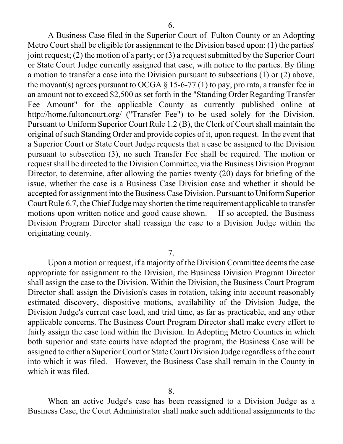A Business Case filed in the Superior Court of Fulton County or an Adopting Metro Court shall be eligible for assignment to the Division based upon: (1) the parties' joint request; (2) the motion of a party; or (3) a request submitted by the Superior Court or State Court Judge currently assigned that case, with notice to the parties. By filing a motion to transfer a case into the Division pursuant to subsections (1) or (2) above, the movant(s) agrees pursuant to OCGA  $\S$  15-6-77 (1) to pay, pro rata, a transfer fee in an amount not to exceed \$2,500 as set forth in the "Standing Order Regarding Transfer Fee Amount" for the applicable County as currently published online at http://home.fultoncourt.org/ ("Transfer Fee") to be used solely for the Division. Pursuant to Uniform Superior Court Rule 1.2 (B), the Clerk of Court shall maintain the original of such Standing Order and provide copies of it, upon request. In the event that a Superior Court or State Court Judge requests that a case be assigned to the Division pursuant to subsection (3), no such Transfer Fee shall be required. The motion or request shall be directed to the Division Committee, via the Business Division Program Director, to determine, after allowing the parties twenty (20) days for briefing of the issue, whether the case is a Business Case Division case and whether it should be accepted for assignment into the Business Case Division. Pursuant to Uniform Superior Court Rule 6.7, the Chief Judge may shorten the time requirement applicable to transfer motions upon written notice and good cause shown. If so accepted, the Business Division Program Director shall reassign the case to a Division Judge within the originating county.

7.

Upon a motion or request, if a majority of the Division Committee deems the case appropriate for assignment to the Division, the Business Division Program Director shall assign the case to the Division. Within the Division, the Business Court Program Director shall assign the Division's cases in rotation, taking into account reasonably estimated discovery, dispositive motions, availability of the Division Judge, the Division Judge's current case load, and trial time, as far as practicable, and any other applicable concerns. The Business Court Program Director shall make every effort to fairly assign the case load within the Division. In Adopting Metro Counties in which both superior and state courts have adopted the program, the Business Case will be assigned to either a Superior Court or StateCourt Division Judge regardless of the court into which it was filed. However, the Business Case shall remain in the County in which it was filed.

When an active Judge's case has been reassigned to a Division Judge as a Business Case, the Court Administrator shall make such additional assignments to the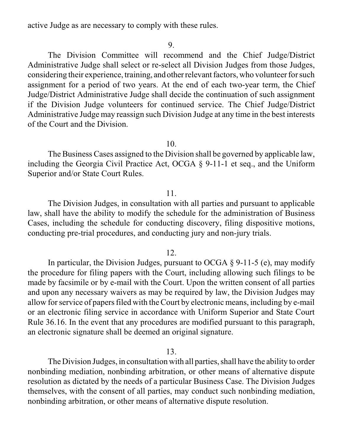active Judge as are necessary to comply with these rules.

#### 9.

The Division Committee will recommend and the Chief Judge/District Administrative Judge shall select or re-select all Division Judges from those Judges, considering their experience, training, and otherrelevant factors, who volunteer for such assignment for a period of two years. At the end of each two-year term, the Chief Judge/District Administrative Judge shall decide the continuation of such assignment if the Division Judge volunteers for continued service. The Chief Judge/District Administrative Judge may reassign such Division Judge at any time in the best interests of the Court and the Division.

#### 10.

The Business Cases assigned to the Division shall be governed by applicable law, including the Georgia Civil Practice Act, OCGA § 9-11-1 et seq., and the Uniform Superior and/or State Court Rules.

### 11.

The Division Judges, in consultation with all parties and pursuant to applicable law, shall have the ability to modify the schedule for the administration of Business Cases, including the schedule for conducting discovery, filing dispositive motions, conducting pre-trial procedures, and conducting jury and non-jury trials.

### 12.

In particular, the Division Judges, pursuant to OCGA  $\S$  9-11-5 (e), may modify the procedure for filing papers with the Court, including allowing such filings to be made by facsimile or by e-mail with the Court. Upon the written consent of all parties and upon any necessary waivers as may be required by law, the Division Judges may allow for service of papers filed with theCourt by electronic means, including by e-mail or an electronic filing service in accordance with Uniform Superior and State Court Rule 36.16. In the event that any procedures are modified pursuant to this paragraph, an electronic signature shall be deemed an original signature.

13.

The Division Judges, in consultation with all parties, shall have the ability to order nonbinding mediation, nonbinding arbitration, or other means of alternative dispute resolution as dictated by the needs of a particular Business Case. The Division Judges themselves, with the consent of all parties, may conduct such nonbinding mediation, nonbinding arbitration, or other means of alternative dispute resolution.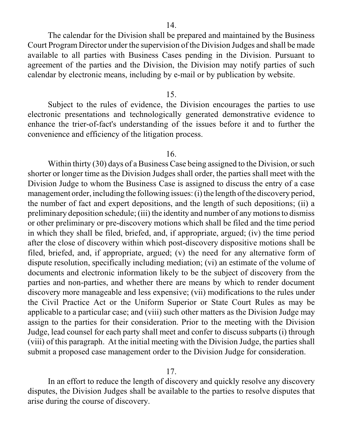The calendar for the Division shall be prepared and maintained by the Business Court Program Director under the supervision of the Division Judges and shall be made available to all parties with Business Cases pending in the Division. Pursuant to agreement of the parties and the Division, the Division may notify parties of such calendar by electronic means, including by e-mail or by publication by website.

### 15.

Subject to the rules of evidence, the Division encourages the parties to use electronic presentations and technologically generated demonstrative evidence to enhance the trier-of-fact's understanding of the issues before it and to further the convenience and efficiency of the litigation process.

### 16.

Within thirty (30) days of a Business Case being assigned to the Division, or such shorter or longer time as the Division Judges shall order, the parties shall meet with the Division Judge to whom the Business Case is assigned to discuss the entry of a case management order, including the following issues: (i) the length of the discovery period, the number of fact and expert depositions, and the length of such depositions; (ii) a preliminary deposition schedule; (iii) the identity and number of any motions to dismiss or other preliminary or pre-discovery motions which shall be filed and the time period in which they shall be filed, briefed, and, if appropriate, argued; (iv) the time period after the close of discovery within which post-discovery dispositive motions shall be filed, briefed, and, if appropriate, argued; (v) the need for any alternative form of dispute resolution, specifically including mediation; (vi) an estimate of the volume of documents and electronic information likely to be the subject of discovery from the parties and non-parties, and whether there are means by which to render document discovery more manageable and less expensive; (vii) modifications to the rules under the Civil Practice Act or the Uniform Superior or State Court Rules as may be applicable to a particular case; and (viii) such other matters as the Division Judge may assign to the parties for their consideration. Prior to the meeting with the Division Judge, lead counsel for each party shall meet and confer to discuss subparts (i) through (viii) of this paragraph. At the initial meeting with the Division Judge, the parties shall submit a proposed case management order to the Division Judge for consideration.

#### 17.

In an effort to reduce the length of discovery and quickly resolve any discovery disputes, the Division Judges shall be available to the parties to resolve disputes that arise during the course of discovery.